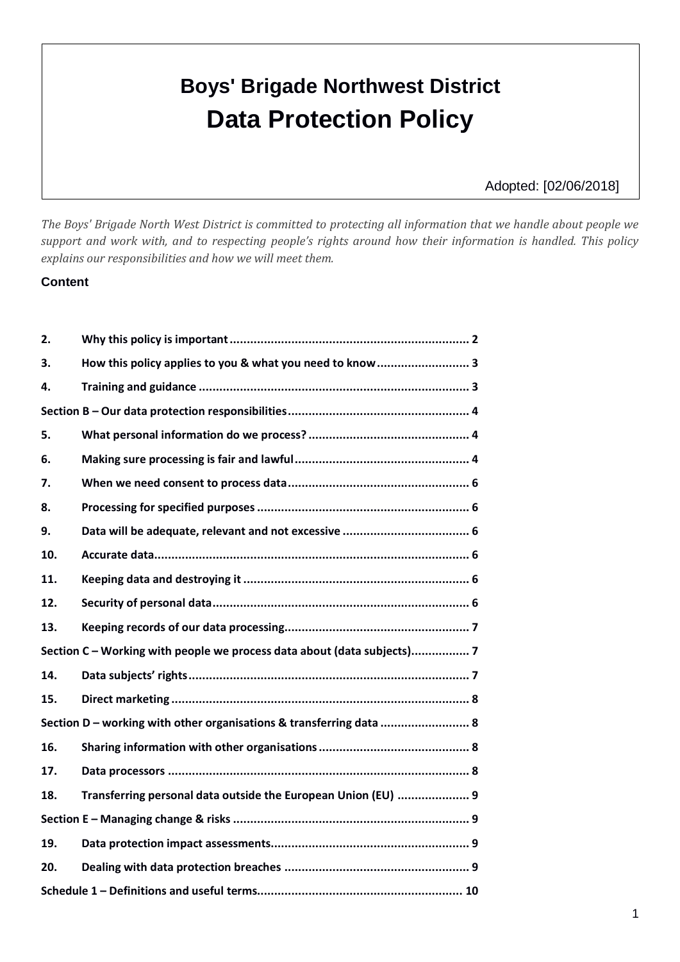# **Boys' Brigade Northwest District Data Protection Policy**

Adopted: [02/06/2018]

*The Boys' Brigade North West District is committed to protecting all information that we handle about people we support and work with, and to respecting people's rights around how their information is handled. This policy explains our responsibilities and how we will meet them.*

#### **Content**

| 2.                                                                      |                                                               |
|-------------------------------------------------------------------------|---------------------------------------------------------------|
| 3.                                                                      | How this policy applies to you & what you need to know  3     |
| 4.                                                                      |                                                               |
|                                                                         |                                                               |
| 5.                                                                      |                                                               |
| 6.                                                                      |                                                               |
| 7.                                                                      |                                                               |
| 8.                                                                      |                                                               |
| 9.                                                                      |                                                               |
| 10.                                                                     |                                                               |
| 11.                                                                     |                                                               |
| 12.                                                                     |                                                               |
| 13.                                                                     |                                                               |
| Section C - Working with people we process data about (data subjects) 7 |                                                               |
| 14.                                                                     |                                                               |
| 15.                                                                     |                                                               |
| Section D - working with other organisations & transferring data  8     |                                                               |
| 16.                                                                     |                                                               |
| 17.                                                                     |                                                               |
| 18.                                                                     | Transferring personal data outside the European Union (EU)  9 |
|                                                                         |                                                               |
| 19.                                                                     |                                                               |
| 20.                                                                     |                                                               |
|                                                                         |                                                               |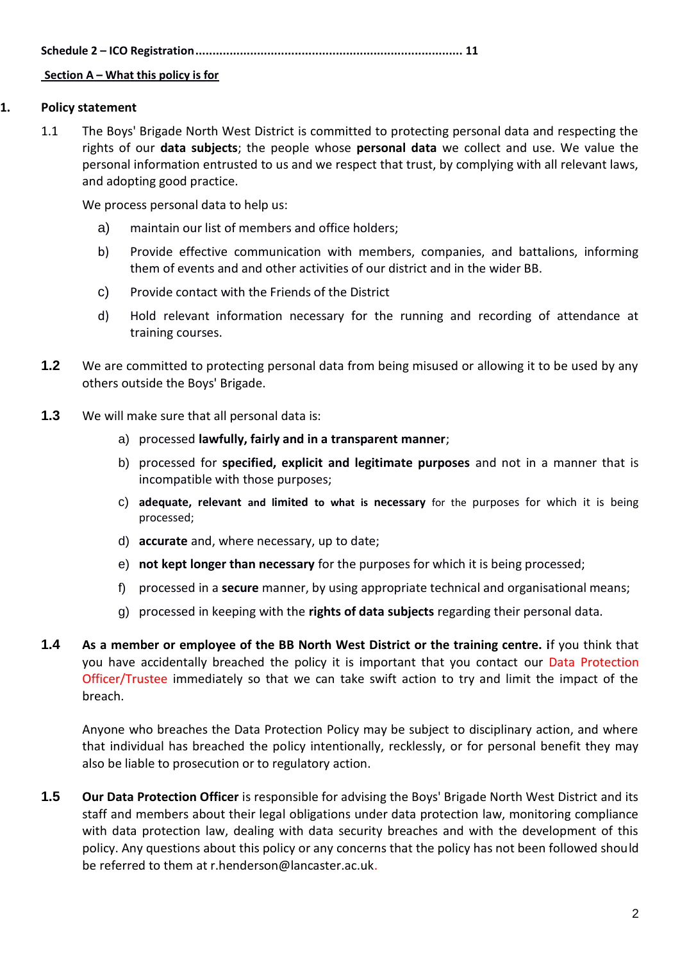**Schedule 2 – ICO Registration.............................................................................. 11**

## **Section A – What this policy is for**

## **1. Policy statement**

1.1 The Boys' Brigade North West District is committed to protecting personal data and respecting the rights of our **data subjects**; the people whose **personal data** we collect and use. We value the personal information entrusted to us and we respect that trust, by complying with all relevant laws, and adopting good practice.

We process personal data to help us:

- a) maintain our list of members and office holders;
- b) Provide effective communication with members, companies, and battalions, informing them of events and and other activities of our district and in the wider BB.
- c) Provide contact with the Friends of the District
- d) Hold relevant information necessary for the running and recording of attendance at training courses.
- **1.2** We are committed to protecting personal data from being misused or allowing it to be used by any others outside the Boys' Brigade.
- **1.3** We will make sure that all personal data is:
	- a) processed **lawfully, fairly and in a transparent manner**;
	- b) processed for **specified, explicit and legitimate purposes** and not in a manner that is incompatible with those purposes;
	- c) **adequate, relevant and limited to what is necessary** for the purposes for which it is being processed;
	- d) **accurate** and, where necessary, up to date;
	- e) **not kept longer than necessary** for the purposes for which it is being processed;
	- f) processed in a **secure** manner, by using appropriate technical and organisational means;
	- g) processed in keeping with the **rights of data subjects** regarding their personal data.
- **1.4 As a member or employee of the BB North West District or the training centre. i**f you think that you have accidentally breached the policy it is important that you contact our Data Protection Officer/Trustee immediately so that we can take swift action to try and limit the impact of the breach.

Anyone who breaches the Data Protection Policy may be subject to disciplinary action, and where that individual has breached the policy intentionally, recklessly, or for personal benefit they may also be liable to prosecution or to regulatory action.

**1.5 Our Data Protection Officer** is responsible for advising the Boys' Brigade North West District and its staff and members about their legal obligations under data protection law, monitoring compliance with data protection law, dealing with data security breaches and with the development of this policy. Any questions about this policy or any concerns that the policy has not been followed should be referred to them at r.henderson@lancaster.ac.uk.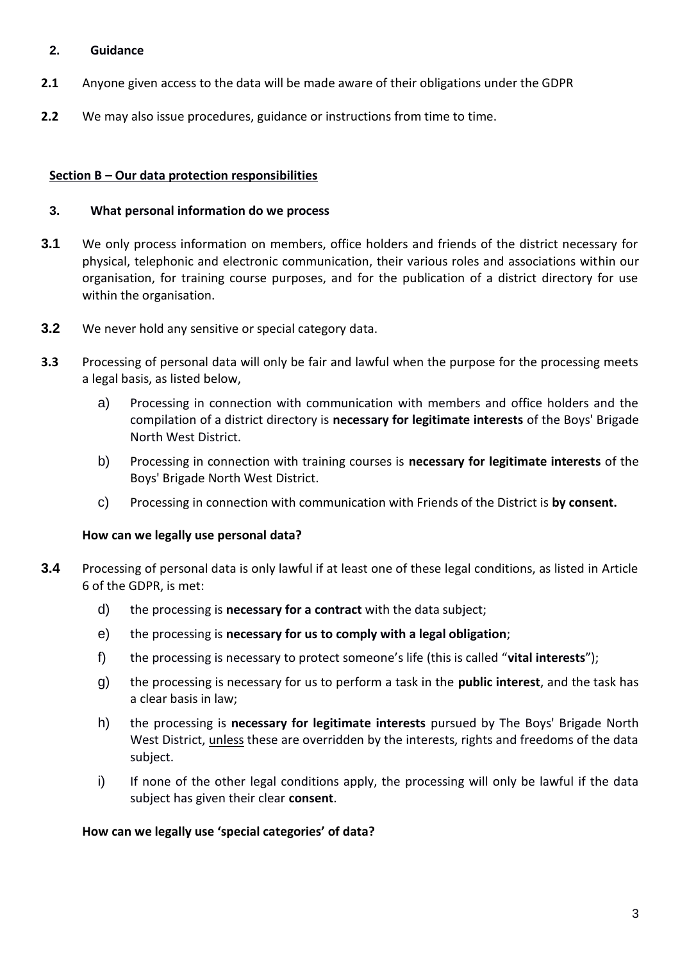## **2. Guidance**

- **2.1** Anyone given access to the data will be made aware of their obligations under the GDPR
- **2.2** We may also issue procedures, guidance or instructions from time to time.

## **Section B – Our data protection responsibilities**

## **3. What personal information do we process**

- **3.1** We only process information on members, office holders and friends of the district necessary for physical, telephonic and electronic communication, their various roles and associations within our organisation, for training course purposes, and for the publication of a district directory for use within the organisation.
- **3.2** We never hold any sensitive or special category data.
- **3.3** Processing of personal data will only be fair and lawful when the purpose for the processing meets a legal basis, as listed below,
	- a) Processing in connection with communication with members and office holders and the compilation of a district directory is **necessary for legitimate interests** of the Boys' Brigade North West District.
	- b) Processing in connection with training courses is **necessary for legitimate interests** of the Boys' Brigade North West District.
	- c) Processing in connection with communication with Friends of the District is **by consent.**

## **How can we legally use personal data?**

- **3.4** Processing of personal data is only lawful if at least one of these legal conditions, as listed in Article 6 of the GDPR, is met:
	- d) the processing is **necessary for a contract** with the data subject;
	- e) the processing is **necessary for us to comply with a legal obligation**;
	- f) the processing is necessary to protect someone's life (this is called "**vital interests**");
	- g) the processing is necessary for us to perform a task in the **public interest**, and the task has a clear basis in law;
	- h) the processing is **necessary for legitimate interests** pursued by The Boys' Brigade North West District, unless these are overridden by the interests, rights and freedoms of the data subject.
	- i) If none of the other legal conditions apply, the processing will only be lawful if the data subject has given their clear **consent**.

#### **How can we legally use 'special categories' of data?**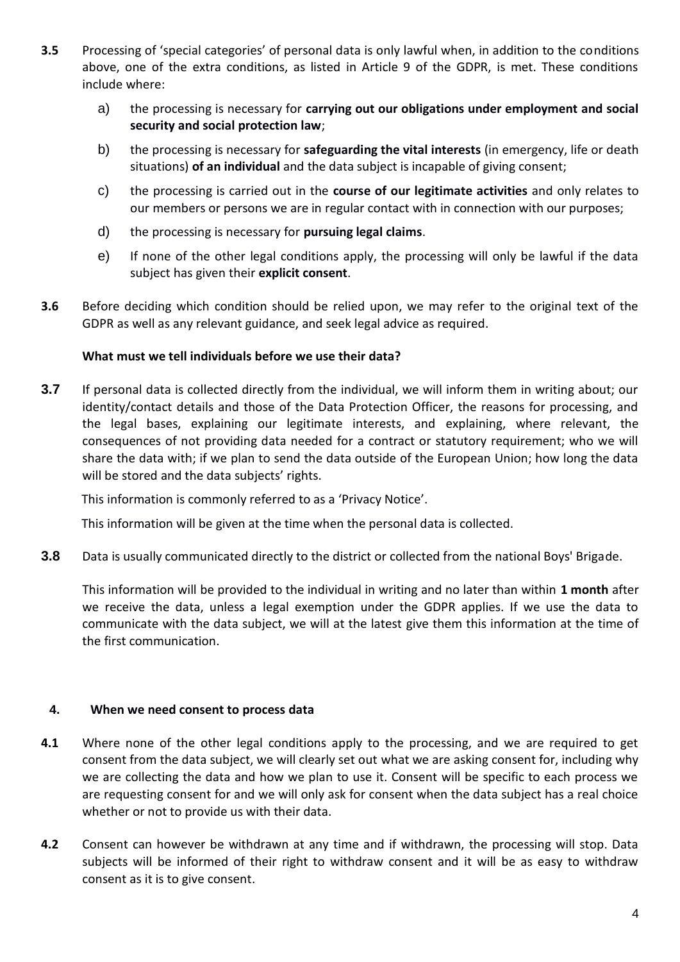- **3.5** Processing of 'special categories' of personal data is only lawful when, in addition to the conditions above, one of the extra conditions, as listed in Article 9 of the GDPR, is met. These conditions include where:
	- a) the processing is necessary for **carrying out our obligations under employment and social security and social protection law**;
	- b) the processing is necessary for **safeguarding the vital interests** (in emergency, life or death situations) **of an individual** and the data subject is incapable of giving consent;
	- c) the processing is carried out in the **course of our legitimate activities** and only relates to our members or persons we are in regular contact with in connection with our purposes;
	- d) the processing is necessary for **pursuing legal claims**.
	- e) If none of the other legal conditions apply, the processing will only be lawful if the data subject has given their **explicit consent**.
- **3.6** Before deciding which condition should be relied upon, we may refer to the original text of the GDPR as well as any relevant guidance, and seek legal advice as required.

## **What must we tell individuals before we use their data?**

<span id="page-3-0"></span>**3.7** If personal data is collected directly from the individual, we will inform them in writing about; our identity/contact details and those of the Data Protection Officer, the reasons for processing, and the legal bases, explaining our legitimate interests, and explaining, where relevant, the consequences of not providing data needed for a contract or statutory requirement; who we will share the data with; if we plan to send the data outside of the European Union; how long the data will be stored and the data subjects' rights.

This information is commonly referred to as a 'Privacy Notice'.

This information will be given at the time when the personal data is collected.

**3.8** Data is usually communicated directly to the district or collected from the national Boys' Brigade.

This information will be provided to the individual in writing and no later than within **1 month** after we receive the data, unless a legal exemption under the GDPR applies. If we use the data to communicate with the data subject, we will at the latest give them this information at the time of the first communication.

## **4. When we need consent to process data**

- **4.1** Where none of the other legal conditions apply to the processing, and we are required to get consent from the data subject, we will clearly set out what we are asking consent for, including why we are collecting the data and how we plan to use it. Consent will be specific to each process we are requesting consent for and we will only ask for consent when the data subject has a real choice whether or not to provide us with their data.
- **4.2** Consent can however be withdrawn at any time and if withdrawn, the processing will stop. Data subjects will be informed of their right to withdraw consent and it will be as easy to withdraw consent as it is to give consent.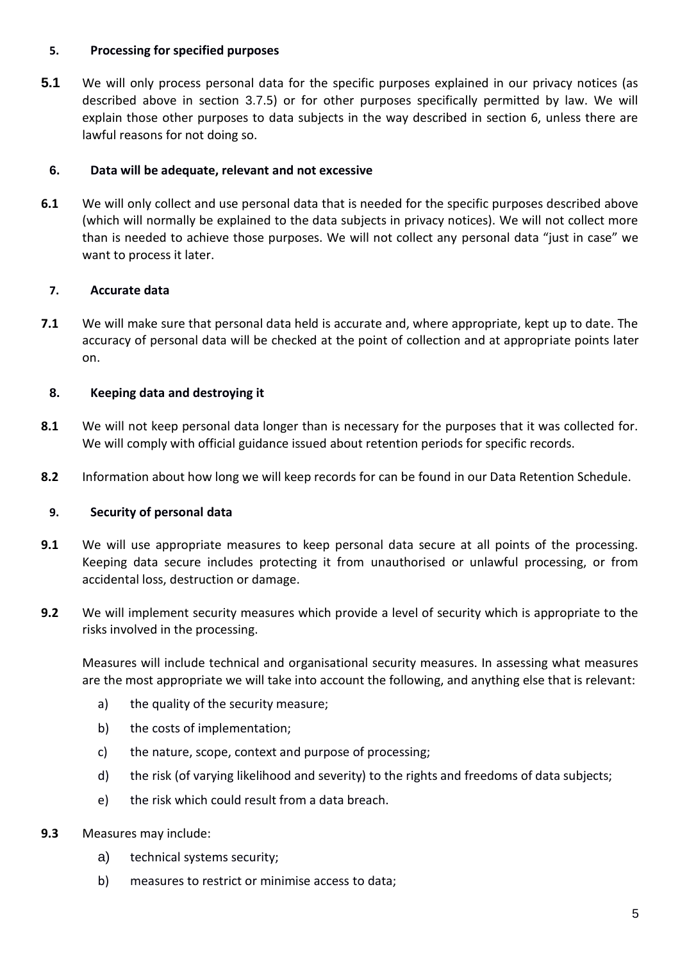## **5. Processing for specified purposes**

**5.1** We will only process personal data for the specific purposes explained in our privacy notices (as described above in section [3.7](#page-3-0).5) or for other purposes specifically permitted by law. We will explain those other purposes to data subjects in the way described in section 6, unless there are lawful reasons for not doing so.

## **6. Data will be adequate, relevant and not excessive**

**6.1** We will only collect and use personal data that is needed for the specific purposes described above (which will normally be explained to the data subjects in privacy notices). We will not collect more than is needed to achieve those purposes. We will not collect any personal data "just in case" we want to process it later.

# **7. Accurate data**

**7.1** We will make sure that personal data held is accurate and, where appropriate, kept up to date. The accuracy of personal data will be checked at the point of collection and at appropriate points later on.

# **8. Keeping data and destroying it**

- **8.1** We will not keep personal data longer than is necessary for the purposes that it was collected for. We will comply with official guidance issued about retention periods for specific records.
- **8.2** Information about how long we will keep records for can be found in our Data Retention Schedule.

# **9. Security of personal data**

- **9.1** We will use appropriate measures to keep personal data secure at all points of the processing. Keeping data secure includes protecting it from unauthorised or unlawful processing, or from accidental loss, destruction or damage.
- **9.2** We will implement security measures which provide a level of security which is appropriate to the risks involved in the processing.

Measures will include technical and organisational security measures. In assessing what measures are the most appropriate we will take into account the following, and anything else that is relevant:

- a) the quality of the security measure;
- b) the costs of implementation;
- c) the nature, scope, context and purpose of processing;
- d) the risk (of varying likelihood and severity) to the rights and freedoms of data subjects;
- e) the risk which could result from a data breach.
- **9.3** Measures may include:
	- a) technical systems security;
	- b) measures to restrict or minimise access to data;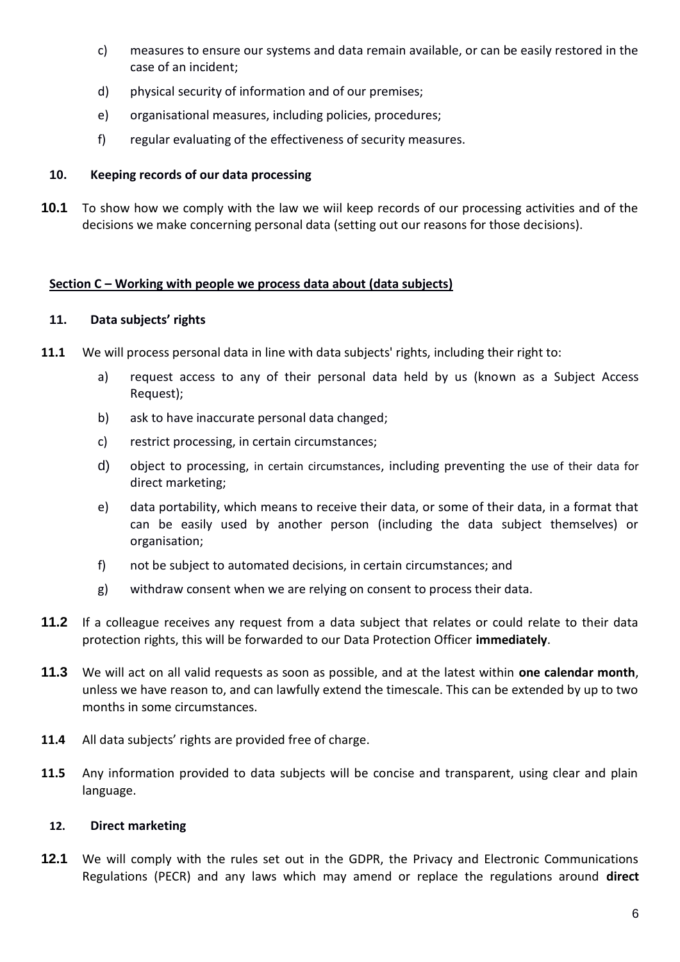- c) measures to ensure our systems and data remain available, or can be easily restored in the case of an incident;
- d) physical security of information and of our premises;
- e) organisational measures, including policies, procedures;
- f) regular evaluating of the effectiveness of security measures.

## **10. Keeping records of our data processing**

**10.1** To show how we comply with the law we wiil keep records of our processing activities and of the decisions we make concerning personal data (setting out our reasons for those decisions).

## **Section C – Working with people we process data about (data subjects)**

## **11. Data subjects' rights**

- **11.1** We will process personal data in line with data subjects' rights, including their right to:
	- a) request access to any of their personal data held by us (known as a Subject Access Request);
	- b) ask to have inaccurate personal data changed;
	- c) restrict processing, in certain circumstances;
	- d) object to processing, in certain circumstances, including preventing the use of their data for direct marketing;
	- e) data portability, which means to receive their data, or some of their data, in a format that can be easily used by another person (including the data subject themselves) or organisation;
	- f) not be subject to automated decisions, in certain circumstances; and
	- g) withdraw consent when we are relying on consent to process their data.
- **11.2** If a colleague receives any request from a data subject that relates or could relate to their data protection rights, this will be forwarded to our Data Protection Officer **immediately**.
- **11.3** We will act on all valid requests as soon as possible, and at the latest within **one calendar month**, unless we have reason to, and can lawfully extend the timescale. This can be extended by up to two months in some circumstances.
- **11.4** All data subjects' rights are provided free of charge.
- **11.5** Any information provided to data subjects will be concise and transparent, using clear and plain language.

## **12. Direct marketing**

**12.1** We will comply with the rules set out in the GDPR, the Privacy and Electronic Communications Regulations (PECR) and any laws which may amend or replace the regulations around **direct**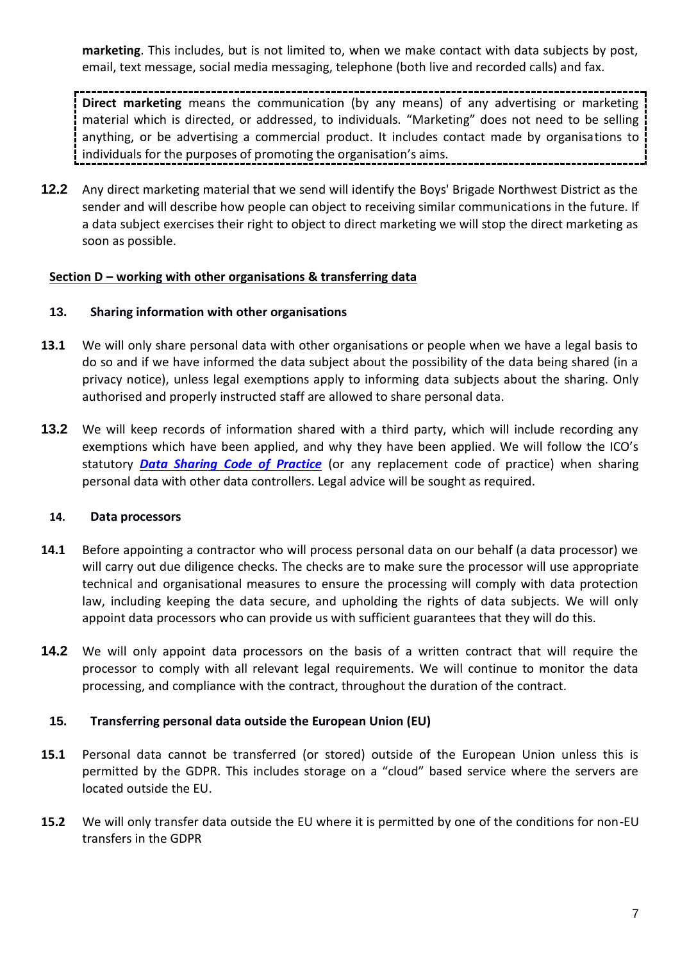**marketing**. This includes, but is not limited to, when we make contact with data subjects by post, email, text message, social media messaging, telephone (both live and recorded calls) and fax.

**Direct marketing** means the communication (by any means) of any advertising or marketing material which is directed, or addressed, to individuals. "Marketing" does not need to be selling anything, or be advertising a commercial product. It includes contact made by organisations to individuals for the purposes of promoting the organisation's aims.

**12.2** Any direct marketing material that we send will identify the Boys' Brigade Northwest District as the sender and will describe how people can object to receiving similar communications in the future. If a data subject exercises their right to object to direct marketing we will stop the direct marketing as soon as possible.

## **Section D – working with other organisations & transferring data**

## **13. Sharing information with other organisations**

- **13.1** We will only share personal data with other organisations or people when we have a legal basis to do so and if we have informed the data subject about the possibility of the data being shared (in a privacy notice), unless legal exemptions apply to informing data subjects about the sharing. Only authorised and properly instructed staff are allowed to share personal data.
- **13.2** We will keep records of information shared with a third party, which will include recording any exemptions which have been applied, and why they have been applied. We will follow the ICO's statutory *[Data Sharing Code of Practice](https://ico.org.uk/media/for-organisations/.../data_sharing_code_of_practice.pdf)* (or any replacement code of practice) when sharing personal data with other data controllers. Legal advice will be sought as required.

#### **14. Data processors**

- **14.1** Before appointing a contractor who will process personal data on our behalf (a data processor) we will carry out due diligence checks. The checks are to make sure the processor will use appropriate technical and organisational measures to ensure the processing will comply with data protection law, including keeping the data secure, and upholding the rights of data subjects. We will only appoint data processors who can provide us with sufficient guarantees that they will do this.
- **14.2** We will only appoint data processors on the basis of a written contract that will require the processor to comply with all relevant legal requirements. We will continue to monitor the data processing, and compliance with the contract, throughout the duration of the contract.

#### **15. Transferring personal data outside the European Union (EU)**

- **15.1** Personal data cannot be transferred (or stored) outside of the European Union unless this is permitted by the GDPR. This includes storage on a "cloud" based service where the servers are located outside the EU.
- **15.2** We will only transfer data outside the EU where it is permitted by one of the conditions for non-EU transfers in the GDPR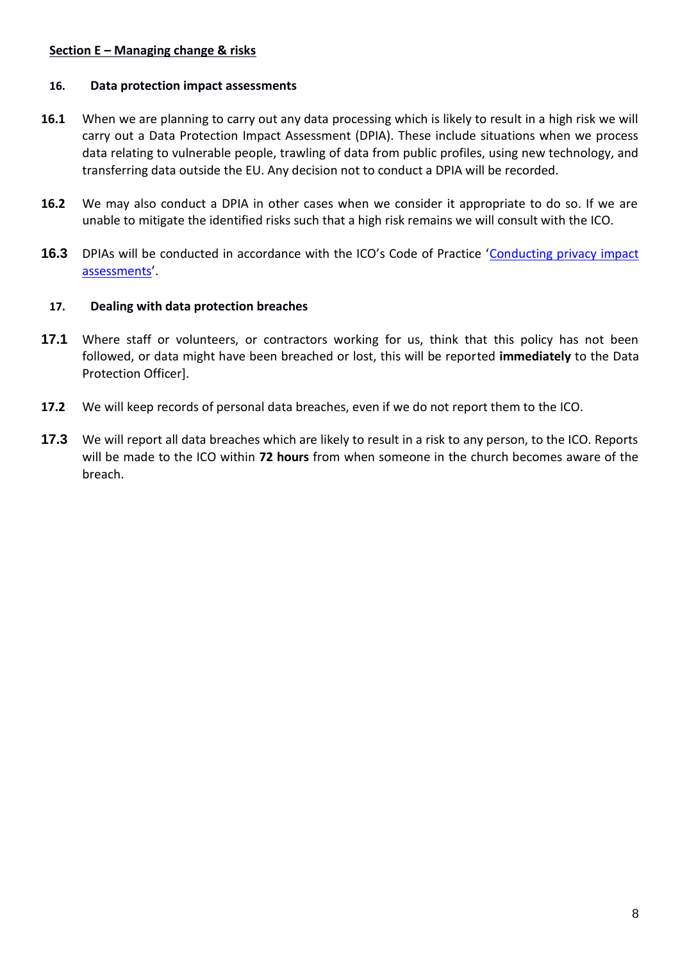## **Section E – Managing change & risks**

# **16. Data protection impact assessments**

- **16.1** When we are planning to carry out any data processing which is likely to result in a high risk we will carry out a Data Protection Impact Assessment (DPIA). These include situations when we process data relating to vulnerable people, trawling of data from public profiles, using new technology, and transferring data outside the EU. Any decision not to conduct a DPIA will be recorded.
- **16.2** We may also conduct a DPIA in other cases when we consider it appropriate to do so. If we are unable to mitigate the identified risks such that a high risk remains we will consult with the ICO.
- 16.3 DPIAs will be conducted in accordance with the ICO's Code of Practice 'Conducting privacy impact [assessments](https://ico.org.uk/media/for-organisations/documents/1595/pia-code-of-practice.pdf)'.

## **17. Dealing with data protection breaches**

- **17.1** Where staff or volunteers, or contractors working for us, think that this policy has not been followed, or data might have been breached or lost, this will be reported **immediately** to the Data Protection Officer].
- **17.2** We will keep records of personal data breaches, even if we do not report them to the ICO.
- **17.3** We will report all data breaches which are likely to result in a risk to any person, to the ICO. Reports will be made to the ICO within **72 hours** from when someone in the church becomes aware of the breach.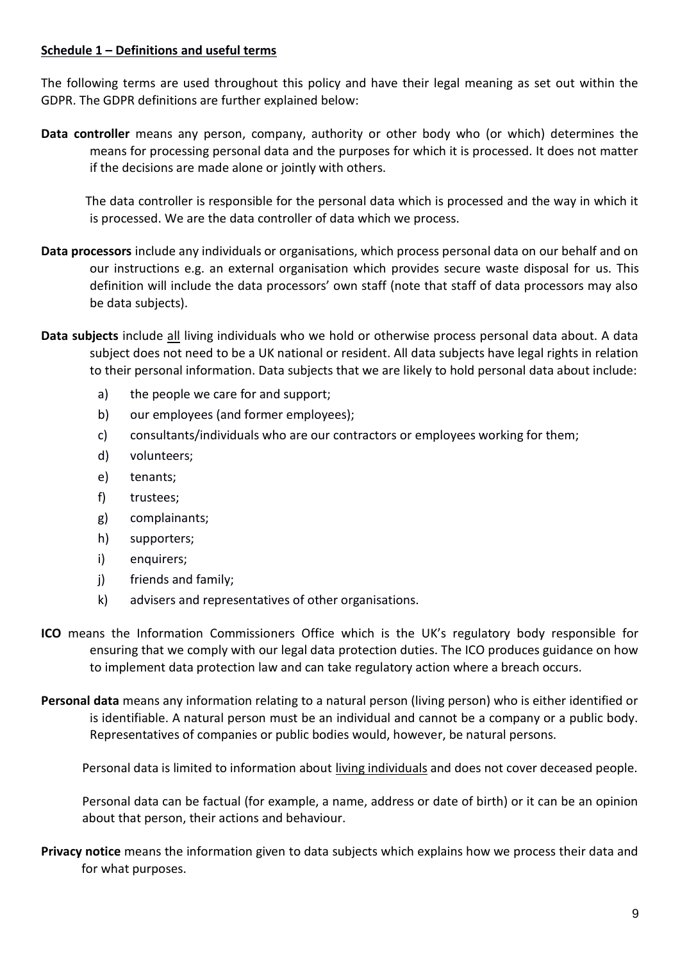## **Schedule 1 – Definitions and useful terms**

The following terms are used throughout this policy and have their legal meaning as set out within the GDPR. The GDPR definitions are further explained below:

**Data controller** means any person, company, authority or other body who (or which) determines the means for processing personal data and the purposes for which it is processed. It does not matter if the decisions are made alone or jointly with others.

The data controller is responsible for the personal data which is processed and the way in which it is processed. We are the data controller of data which we process.

- **Data processors** include any individuals or organisations, which process personal data on our behalf and on our instructions e.g. an external organisation which provides secure waste disposal for us. This definition will include the data processors' own staff (note that staff of data processors may also be data subjects).
- **Data subjects** include all living individuals who we hold or otherwise process personal data about. A data subject does not need to be a UK national or resident. All data subjects have legal rights in relation to their personal information. Data subjects that we are likely to hold personal data about include:
	- a) the people we care for and support;
	- b) our employees (and former employees);
	- c) consultants/individuals who are our contractors or employees working for them;
	- d) volunteers;
	- e) tenants;
	- f) trustees;
	- g) complainants;
	- h) supporters;
	- i) enquirers;
	- j) friends and family;
	- k) advisers and representatives of other organisations.
- **ICO** means the Information Commissioners Office which is the UK's regulatory body responsible for ensuring that we comply with our legal data protection duties. The ICO produces guidance on how to implement data protection law and can take regulatory action where a breach occurs.
- **Personal data** means any information relating to a natural person (living person) who is either identified or is identifiable. A natural person must be an individual and cannot be a company or a public body. Representatives of companies or public bodies would, however, be natural persons.

Personal data is limited to information about living individuals and does not cover deceased people.

Personal data can be factual (for example, a name, address or date of birth) or it can be an opinion about that person, their actions and behaviour.

**Privacy notice** means the information given to data subjects which explains how we process their data and for what purposes.